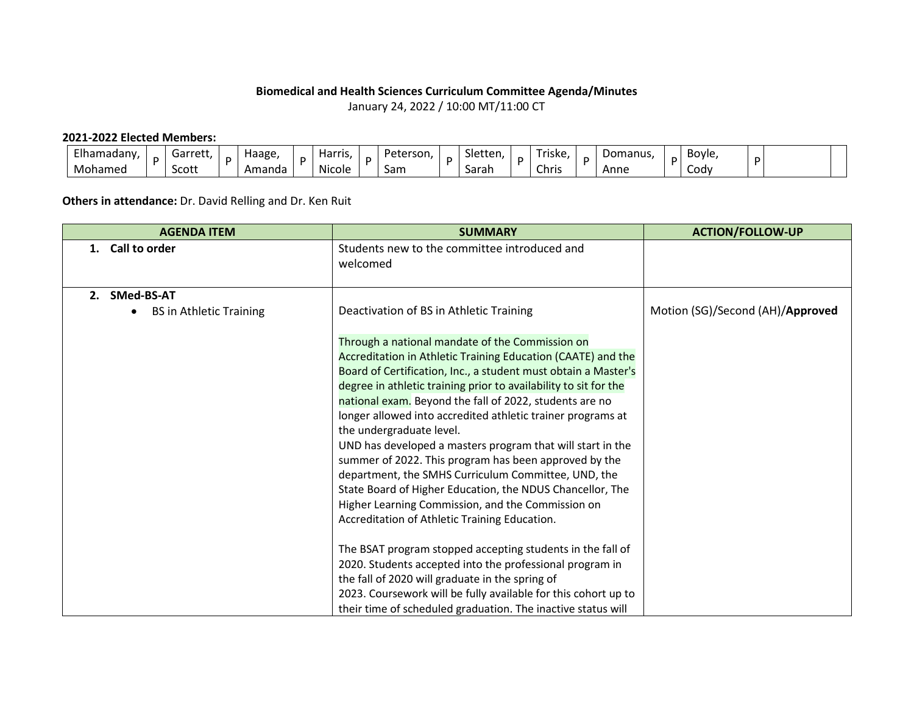## **Biomedical and Health Sciences Curriculum Committee Agenda/Minutes** January 24, 2022 / 10:00 MT/11:00 CT

## **2021-2022 Elected Members:**

| Elhamadany, | 'arre+' | Haage. | . .<br>Harris<br>. | Peterson | Sletten, | riske.                            | Domanus. | Bovle       | D |  |
|-------------|---------|--------|--------------------|----------|----------|-----------------------------------|----------|-------------|---|--|
| Mohamed     | Scott   | Amanda | Nicole             | Sam      | Sarah    | $\overline{\phantom{0}}$<br>Chris | Anne     | <b>CODV</b> |   |  |

## **Others in attendance:** Dr. David Relling and Dr. Ken Ruit

| <b>AGENDA ITEM</b>                                 | <b>SUMMARY</b>                                                                                                                                                                                                                                                                                                                                                                                                                                                                                                                                                                                                                                                                                                                                               | <b>ACTION/FOLLOW-UP</b>          |  |  |  |
|----------------------------------------------------|--------------------------------------------------------------------------------------------------------------------------------------------------------------------------------------------------------------------------------------------------------------------------------------------------------------------------------------------------------------------------------------------------------------------------------------------------------------------------------------------------------------------------------------------------------------------------------------------------------------------------------------------------------------------------------------------------------------------------------------------------------------|----------------------------------|--|--|--|
| Call to order<br>1.                                | Students new to the committee introduced and<br>welcomed                                                                                                                                                                                                                                                                                                                                                                                                                                                                                                                                                                                                                                                                                                     |                                  |  |  |  |
| SMed-BS-AT<br>2.<br><b>BS in Athletic Training</b> | Deactivation of BS in Athletic Training                                                                                                                                                                                                                                                                                                                                                                                                                                                                                                                                                                                                                                                                                                                      | Motion (SG)/Second (AH)/Approved |  |  |  |
|                                                    | Through a national mandate of the Commission on<br>Accreditation in Athletic Training Education (CAATE) and the<br>Board of Certification, Inc., a student must obtain a Master's<br>degree in athletic training prior to availability to sit for the<br>national exam. Beyond the fall of 2022, students are no<br>longer allowed into accredited athletic trainer programs at<br>the undergraduate level.<br>UND has developed a masters program that will start in the<br>summer of 2022. This program has been approved by the<br>department, the SMHS Curriculum Committee, UND, the<br>State Board of Higher Education, the NDUS Chancellor, The<br>Higher Learning Commission, and the Commission on<br>Accreditation of Athletic Training Education. |                                  |  |  |  |
|                                                    | The BSAT program stopped accepting students in the fall of<br>2020. Students accepted into the professional program in<br>the fall of 2020 will graduate in the spring of<br>2023. Coursework will be fully available for this cohort up to<br>their time of scheduled graduation. The inactive status will                                                                                                                                                                                                                                                                                                                                                                                                                                                  |                                  |  |  |  |